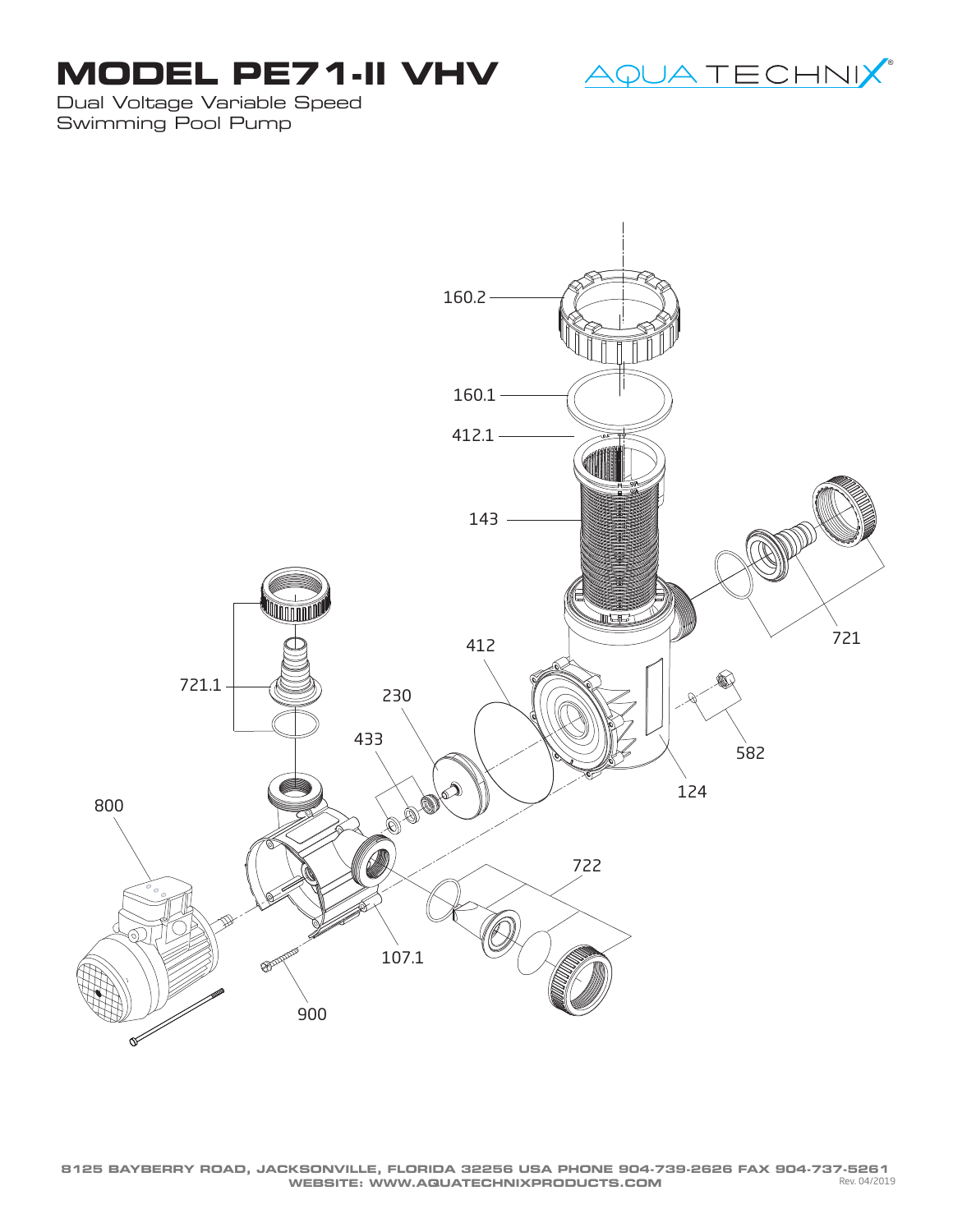## **MODEL PE71-II VHV**



Dual Voltage Variable Speed Swimming Pool Pump